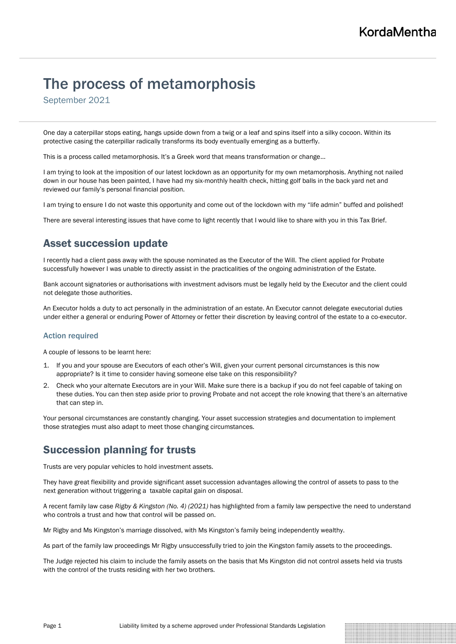# The process of metamorphosis

September 2021

One day a caterpillar stops eating, hangs upside down from a twig or a leaf and spins itself into a silky cocoon. Within its protective casing the caterpillar radically transforms its body eventually emerging as a butterfly.

This is a process called metamorphosis. It's a Greek word that means transformation or change…

I am trying to look at the imposition of our latest lockdown as an opportunity for my own metamorphosis. Anything not nailed down in our house has been painted, I have had my six-monthly health check, hitting golf balls in the back yard net and reviewed our family's personal financial position.

I am trying to ensure I do not waste this opportunity and come out of the lockdown with my "life admin" buffed and polished!

There are several interesting issues that have come to light recently that I would like to share with you in this Tax Brief.

## Asset succession update

I recently had a client pass away with the spouse nominated as the Executor of the Will. The client applied for Probate successfully however I was unable to directly assist in the practicalities of the ongoing administration of the Estate.

Bank account signatories or authorisations with investment advisors must be legally held by the Executor and the client could not delegate those authorities.

An Executor holds a duty to act personally in the administration of an estate. An Executor cannot delegate executorial duties under either a general or enduring Power of Attorney or fetter their discretion by leaving control of the estate to a co-executor.

### Action required

A couple of lessons to be learnt here:

- 1. If you and your spouse are Executors of each other's Will, given your current personal circumstances is this now appropriate? Is it time to consider having someone else take on this responsibility?
- 2. Check who your alternate Executors are in your Will. Make sure there is a backup if you do not feel capable of taking on these duties. You can then step aside prior to proving Probate and not accept the role knowing that there's an alternative that can step in.

Your personal circumstances are constantly changing. Your asset succession strategies and documentation to implement those strategies must also adapt to meet those changing circumstances.

## Succession planning for trusts

Trusts are very popular vehicles to hold investment assets.

They have great flexibility and provide significant asset succession advantages allowing the control of assets to pass to the next generation without triggering a taxable capital gain on disposal.

A recent family law case *Rigby & Kingston (No. 4) (2021)* has highlighted from a family law perspective the need to understand who controls a trust and how that control will be passed on.

Mr Rigby and Ms Kingston's marriage dissolved, with Ms Kingston's family being independently wealthy.

As part of the family law proceedings Mr Rigby unsuccessfully tried to join the Kingston family assets to the proceedings.

The Judge rejected his claim to include the family assets on the basis that Ms Kingston did not control assets held via trusts with the control of the trusts residing with her two brothers.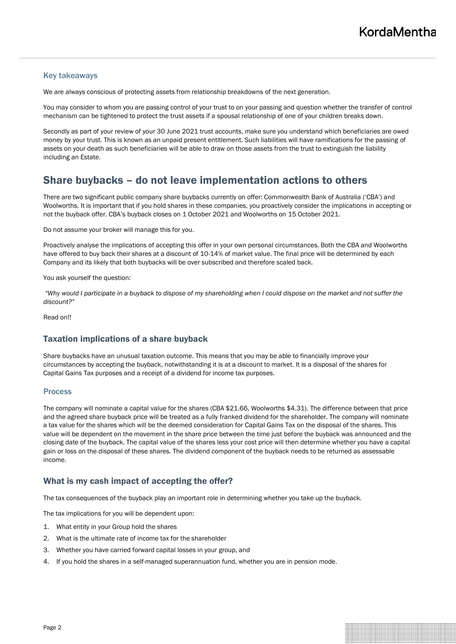### Key takeaways

We are always conscious of protecting assets from relationship breakdowns of the next generation.

You may consider to whom you are passing control of your trust to on your passing and question whether the transfer of control mechanism can be tightened to protect the trust assets if a spousal relationship of one of your children breaks down.

Secondly as part of your review of your 30 June 2021 trust accounts, make sure you understand which beneficiaries are owed money by your trust. This is known as an unpaid present entitlement. Such liabilities will have ramifications for the passing of assets on your death as such beneficiaries will be able to draw on those assets from the trust to extinguish the liability including an Estate.

## Share buybacks – do not leave implementation actions to others

There are two significant public company share buybacks currently on offer: Commonwealth Bank of Australia ('CBA') and Woolworths. It is important that if you hold shares in these companies, you proactively consider the implications in accepting or not the buyback offer. CBA's buyback closes on 1 October 2021 and Woolworths on 15 October 2021.

Do not assume your broker will manage this for you.

Proactively analyse the implications of accepting this offer in your own personal circumstances. Both the CBA and Woolworths have offered to buy back their shares at a discount of 10-14% of market value. The final price will be determined by each Company and its likely that both buybacks will be over subscribed and therefore scaled back.

You ask yourself the question:

*"Why would I participate in a buyback to dispose of my shareholding when I could dispose on the market and not suffer the discount?"*

Read on!!

### Taxation implications of a share buyback

Share buybacks have an unusual taxation outcome. This means that you may be able to financially improve your circumstances by accepting the buyback, notwithstanding it is at a discount to market. It is a disposal of the shares for Capital Gains Tax purposes and a receipt of a dividend for income tax purposes.

### **Process**

The company will nominate a capital value for the shares (CBA \$21.66, Woolworths \$4.31). The difference between that price and the agreed share buyback price will be treated as a fully franked dividend for the shareholder. The company will nominate a tax value for the shares which will be the deemed consideration for Capital Gains Tax on the disposal of the shares. This value will be dependent on the movement in the share price between the time just before the buyback was announced and the closing date of the buyback. The capital value of the shares less your cost price will then determine whether you have a capital gain or loss on the disposal of these shares. The dividend component of the buyback needs to be returned as assessable income.

### What is my cash impact of accepting the offer?

The tax consequences of the buyback play an important role in determining whether you take up the buyback.

The tax implications for you will be dependent upon:

- 1. What entity in your Group hold the shares
- 2. What is the ultimate rate of income tax for the shareholder
- 3. Whether you have carried forward capital losses in your group, and
- 4. If you hold the shares in a self-managed superannuation fund, whether you are in pension mode.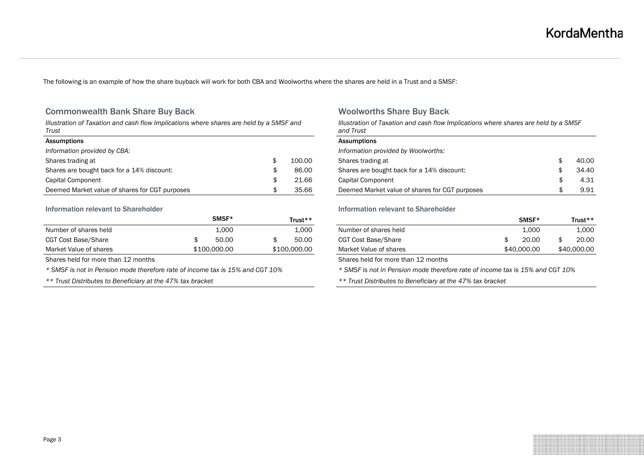The following is an example of how the share buyback will work for both CBA and Woolworths where the shares are held in a Trust and a SMSF:

### Commonwealth Bank Share Buy Back Woolworths Share Buy Back

*Illustration of Taxation and cash flow Implications where shares are held by a SMSF and Trust*

| Assumptions                                    |        | Assumptions                                            |
|------------------------------------------------|--------|--------------------------------------------------------|
| Information provided by CBA:                   |        | Information provided by Woolworths:                    |
| Shares trading at                              | 100.00 | 40.00<br>Shares trading at                             |
| Shares are bought back for a 14% discount:     | 86.00  | 34.40<br>Shares are bought back for a 14% discount:    |
| Capital Component                              | 21.66  | 4.31<br>Capital Component                              |
| Deemed Market value of shares for CGT purposes | 35.66  | 9.91<br>Deemed Market value of shares for CGT purposes |

### **Information relevant to Shareholder Information relevant to Shareholder Information relevant to Shareholder**

|                        | SMSF*        |              | Trust** |                        | SMSF*       | Trust**     |
|------------------------|--------------|--------------|---------|------------------------|-------------|-------------|
| Number of shares held  | 1.000        |              | 1.000   | Number of shares held  | 1.000       | 1,000       |
| CGT Cost Base/Share    | 50.00        |              | 50.00   | CGT Cost Base/Share    | 20.00       | 20.00       |
| Market Value of shares | \$100,000.00 | \$100,000.00 |         | Market Value of shares | \$40,000.00 | \$40,000.00 |

Shares held for more than 12 months Shares held for more than 12 months

*\* SMSF is not in Pension mode therefore rate of income tax is 15% and CGT 10% \* SMSF is not in Pension mode therefore rate of income tax is 15% and CGT 10%*

*Illustration of Taxation and cash flow Implications where shares are held by a SMSF and Trust*

| <b>Assumptions</b>                             |     |       |
|------------------------------------------------|-----|-------|
| Information provided by Woolworths:            |     |       |
| Shares trading at                              | \$. | 40.00 |
| Shares are bought back for a 14% discount:     | S   | 34.40 |
| Capital Component                              | S   | 4.31  |
| Deemed Market value of shares for CGT purposes | S   | 9.91  |

|                        | SMSF*        | Trust**      |                        | SMSF*       | Trust**     |
|------------------------|--------------|--------------|------------------------|-------------|-------------|
| Number of shares held  | 1.000        | 1.000        | Number of shares held  | 1.000       | 000.⊥       |
| CGT Cost Base/Share    | 50.00        | 50.00        | CGT Cost Base/Share    | 20.00       | 20.00       |
| Market Value of shares | \$100,000,00 | \$100,000,00 | Market Value of shares | \$40,000,00 | \$40,000.00 |

*\*\* Trust Distributes to Beneficiary at the 47% tax bracket \*\* Trust Distributes to Beneficiary at the 47% tax bracket*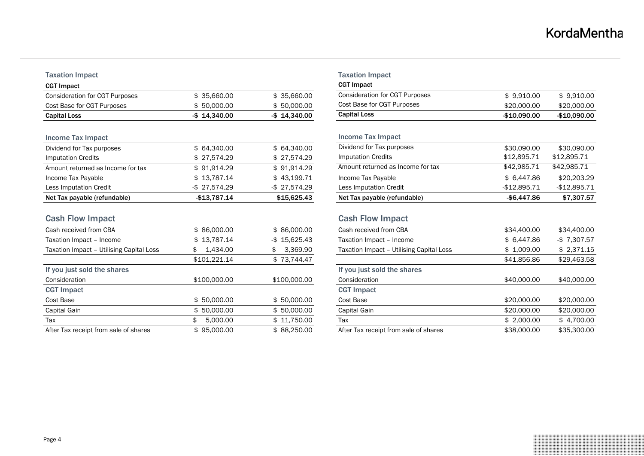### **Taxation Impact**

| <b>CGT Impact</b>              |                 |                 | <b>CGT Impact</b>              |              |               |  |
|--------------------------------|-----------------|-----------------|--------------------------------|--------------|---------------|--|
| Consideration for CGT Purposes | 35.660.00       | \$35.660.00     | Consideration for CGT Purposes | \$9.910.00   | \$9.910.00    |  |
| Cost Base for CGT Purposes     | 50.000.00       | \$50,000,00     | Cost Base for CGT Purposes     | \$20,000,00  | \$20,000,00   |  |
| <b>Capital Loss</b>            | $-$ \$14.340.00 | $-$ \$14.340.00 | <b>Capital Loss</b>            | -\$10.090.00 | $-$10.090.00$ |  |

### Income Tax Impact

| Net Tax payable (refundable)      | -\$13.787.14    | \$15,625.43  | Net Tax payable (refundable)      | -\$6.447.86  | \$7,307.57   |
|-----------------------------------|-----------------|--------------|-----------------------------------|--------------|--------------|
| Less Imputation Credit            | $-$ \$27.574.29 | -\$27.574.29 | Less Imputation Credit            | -\$12.895.71 | -\$12.895.71 |
| Income Tax Payable                | \$13.787.14     | \$43,199.71  | Income Tax Payable                | \$ 6.447.86  | \$20,203,29  |
| Amount returned as Income for tax | \$91.914.29     | \$91.914.29  | Amount returned as Income for tax | \$42.985.71  | \$42.985.71  |
| Imputation Credits                | \$27.574.29     | \$27.574.29  | Imputation Credits                | \$12.895.71  | \$12.895.71  |
| Dividend for Tax purposes         | \$64,340.00     | \$64,340.00  | Dividend for Tax purposes         | \$30,090,00  | \$30,090,00  |

| <b>Cash Flow Impact</b>                  |                |                  | <b>Cash Flow Impact</b>                  |             |                 |  |
|------------------------------------------|----------------|------------------|------------------------------------------|-------------|-----------------|--|
| Cash received from CBA                   | \$86,000,00    | \$86,000,00      | Cash received from CBA                   | \$34,400.00 | \$34,400.00     |  |
| Taxation Impact - Income                 | \$13,787.14    | $-$ \$ 15.625.43 | Taxation Impact - Income                 | \$ 6.447.86 | $-$ \$ 7.307.57 |  |
| Taxation Impact - Utilising Capital Loss | \$ 1,434.00    | 3,369.90<br>\$   | Taxation Impact - Utilising Capital Loss | \$1,009.00  | \$2,371.15      |  |
|                                          | \$101.221.14   | \$73,744.47      |                                          | \$41,856.86 | \$29,463.58     |  |
| If you just sold the shares              |                |                  | If you just sold the shares              |             |                 |  |
| Consideration                            | \$100,000,00   | \$100,000.00     | Consideration                            | \$40,000.00 | \$40,000.00     |  |
| <b>CGT Impact</b>                        |                |                  | <b>CGT Impact</b>                        |             |                 |  |
| Cost Base                                | \$50,000.00    | \$50,000,00      | Cost Base                                | \$20,000,00 | \$20,000,00     |  |
| Capital Gain                             | \$50,000,00    | \$50,000,00      | Capital Gain                             | \$20,000,00 | \$20,000.00     |  |
| Tax                                      | 5.000.00<br>\$ | \$11.750.00      | Tax                                      | \$2,000,00  | \$4.700.00      |  |
| After Tax receipt from sale of shares    | \$95.000.00    | \$88,250,00      | After Tax receipt from sale of shares    | \$38,000,00 | \$35,300,00     |  |
|                                          |                |                  |                                          |             |                 |  |

|                |                 | <b>Taxation Impact</b><br><b>CGT Impact</b> |               |                |
|----------------|-----------------|---------------------------------------------|---------------|----------------|
| \$35,660.00    | \$35,660.00     | <b>Consideration for CGT Purposes</b>       | \$9,910.00    | \$9.910.00     |
| \$50,000.00    | \$50,000.00     | Cost Base for CGT Purposes                  | \$20,000.00   | \$20,000.00    |
| \$14.340.00    | $-$ \$14.340.00 | <b>Capital Loss</b>                         | $-$10,090.00$ | $-$10,090.00$  |
|                |                 | <b>Income Tax Impact</b>                    |               |                |
| \$64,340.00    | \$64,340.00     | Dividend for Tax purposes                   | \$30,090,00   | \$30,090,00    |
| \$27,574.29    | \$27,574.29     | <b>Imputation Credits</b>                   | \$12,895.71   | \$12,895.71    |
| \$91,914.29    | \$91,914.29     | Amount returned as Income for tax           | \$42,985.71   | \$42,985.71    |
| \$13,787.14    | \$43,199.71     | Income Tax Payable                          | \$6,447.86    | \$20,203.29    |
| \$27,574.29    | $-$ \$27,574.29 | Less Imputation Credit                      | $-$12,895.71$ | $-$12,895.71$  |
| \$13,787.14    | \$15,625.43     | Net Tax payable (refundable)                | $-$6,447.86$  | \$7,307.57     |
|                |                 | <b>Cash Flow Impact</b>                     |               |                |
| \$86,000.00    | \$86,000.00     | Cash received from CBA                      | \$34,400.00   | \$34,400.00    |
| \$13,787.14    | $-$ \$15,625.43 | Taxation Impact - Income                    | \$6,447.86    | $-$ \$7.307.57 |
| 1,434.00<br>\$ | 3,369.90<br>\$  | Taxation Impact - Utilising Capital Loss    | \$1,009.00    | \$2,371.15     |
| \$101,221.14   | \$73,744.47     |                                             | \$41,856.86   | \$29,463.58    |
|                |                 | If you just sold the shares                 |               |                |
| \$100,000.00   | \$100,000.00    | Consideration                               | \$40,000.00   | \$40,000.00    |
|                |                 | <b>CGT Impact</b>                           |               |                |
| \$50,000.00    | \$50,000.00     | Cost Base                                   | \$20,000.00   | \$20,000.00    |
| \$50,000.00    | \$50,000.00     | Capital Gain                                | \$20,000.00   | \$20,000.00    |
| \$<br>5.000.00 | \$11.750.00     | Tax                                         | \$2.000.00    | \$4.700.00     |